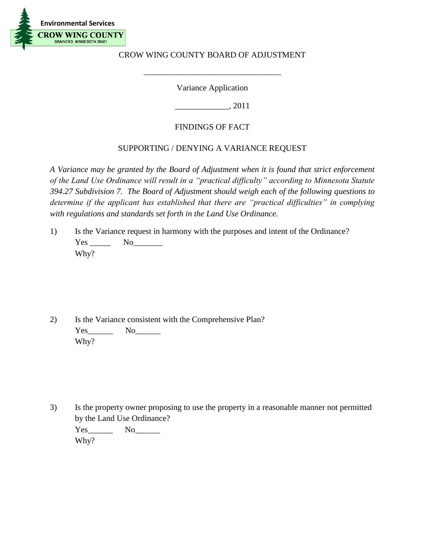

## CROW WING COUNTY BOARD OF ADJUSTMENT

Variance Application

\_\_\_\_\_\_\_\_\_\_\_\_\_\_\_\_\_\_\_\_\_\_\_\_\_\_\_\_\_\_\_\_\_

\_\_\_\_\_\_\_\_\_\_\_\_\_, 2011

## FINDINGS OF FACT

## SUPPORTING / DENYING A VARIANCE REQUEST

*A Variance may be granted by the Board of Adjustment when it is found that strict enforcement of the Land Use Ordinance will result in a "practical difficulty" according to Minnesota Statute 394.27 Subdivision 7. The Board of Adjustment should weigh each of the following questions to determine if the applicant has established that there are "practical difficulties" in complying with regulations and standards set forth in the Land Use Ordinance.*

1) Is the Variance request in harmony with the purposes and intent of the Ordinance? Yes No<sub>N</sub> Why?

2) Is the Variance consistent with the Comprehensive Plan? Yes No Why?

3) Is the property owner proposing to use the property in a reasonable manner not permitted by the Land Use Ordinance?

Yes\_\_\_\_\_\_ No\_\_\_\_\_\_ Why?